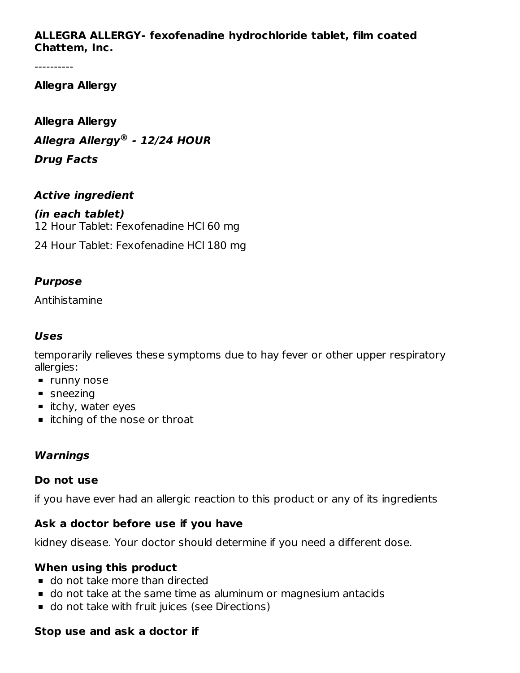# **ALLEGRA ALLERGY- fexofenadine hydrochloride tablet, film coated Chattem, Inc.**

----------

# **Allegra Allergy**

**Allegra Allergy Allegra Allergy - 12/24 HOUR ®Drug Facts**

#### **Active ingredient**

**(in each tablet)** 12 Hour Tablet: Fexofenadine HCl 60 mg 24 Hour Tablet: Fexofenadine HCl 180 mg

#### **Purpose**

Antihistamine

#### **Uses**

temporarily relieves these symptoms due to hay fever or other upper respiratory allergies:

- **runny nose**
- **sneezing**
- $\blacksquare$  itchy, water eyes
- itching of the nose or throat

#### **Warnings**

#### **Do not use**

if you have ever had an allergic reaction to this product or any of its ingredients

#### **Ask a doctor before use if you have**

kidney disease. Your doctor should determine if you need a different dose.

#### **When using this product**

- do not take more than directed
- do not take at the same time as aluminum or magnesium antacids
- do not take with fruit juices (see Directions)

#### **Stop use and ask a doctor if**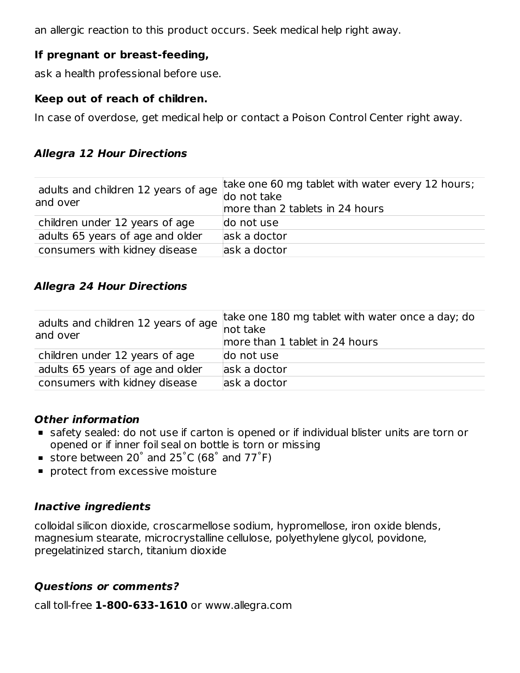an allergic reaction to this product occurs. Seek medical help right away.

# **If pregnant or breast-feeding,**

ask a health professional before use.

#### **Keep out of reach of children.**

In case of overdose, get medical help or contact a Poison Control Center right away.

# **Allegra 12 Hour Directions**

| adults and children 12 years of age $\begin{array}{c} \text{and} \\ \text{do not take} \end{array}$<br>and over | take one 60 mg tablet with water every 12 hours;<br>more than 2 tablets in 24 hours |
|-----------------------------------------------------------------------------------------------------------------|-------------------------------------------------------------------------------------|
| children under 12 years of age                                                                                  | do not use                                                                          |
| adults 65 years of age and older                                                                                | ask a doctor                                                                        |
| consumers with kidney disease                                                                                   | ask a doctor                                                                        |

# **Allegra 24 Hour Directions**

| adults and children 12 years of age<br>and over | take one 180 mg tablet with water once a day; do<br>not take<br>more than 1 tablet in 24 hours |
|-------------------------------------------------|------------------------------------------------------------------------------------------------|
| children under 12 years of age                  | do not use                                                                                     |
| adults 65 years of age and older                | ask a doctor                                                                                   |
| consumers with kidney disease                   | ask a doctor                                                                                   |

#### **Other information**

- safety sealed: do not use if carton is opened or if individual blister units are torn or opened or if inner foil seal on bottle is torn or missing
- store between 20 $^{\circ}$  and 25 $^{\circ}$ C (68 $^{\circ}$  and 77 $^{\circ}$ F)
- **protect from excessive moisture**

# **Inactive ingredients**

colloidal silicon dioxide, croscarmellose sodium, hypromellose, iron oxide blends, magnesium stearate, microcrystalline cellulose, polyethylene glycol, povidone, pregelatinized starch, titanium dioxide

# **Questions or comments?**

call toll-free **1-800-633-1610** or www.allegra.com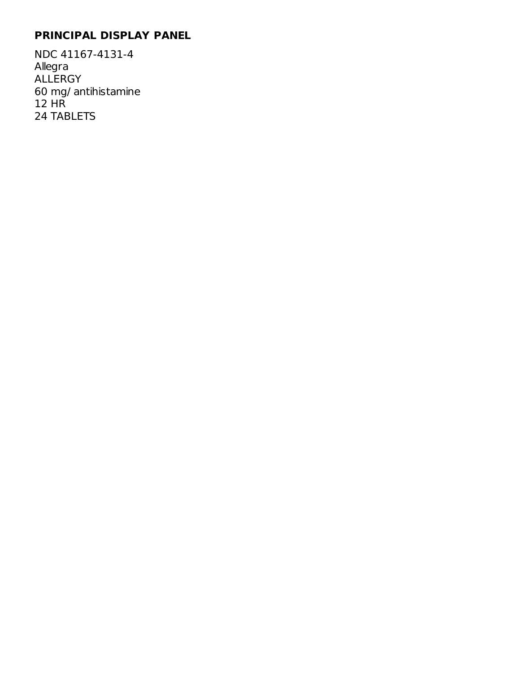# **PRINCIPAL DISPLAY PANEL**

NDC 41167-4131-4 Allegra ALLERGY 60 mg/ antihistamine 12 HR 24 TABLETS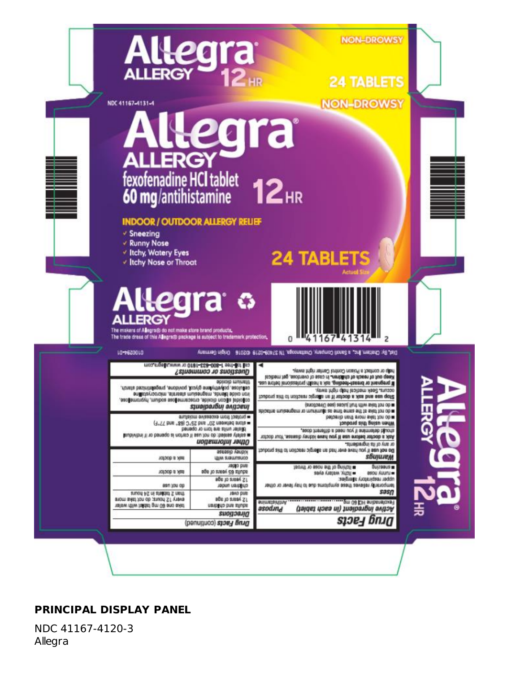

# **PRINCIPAL DISPLAY PANEL**

NDC 41167-4120-3 Allegra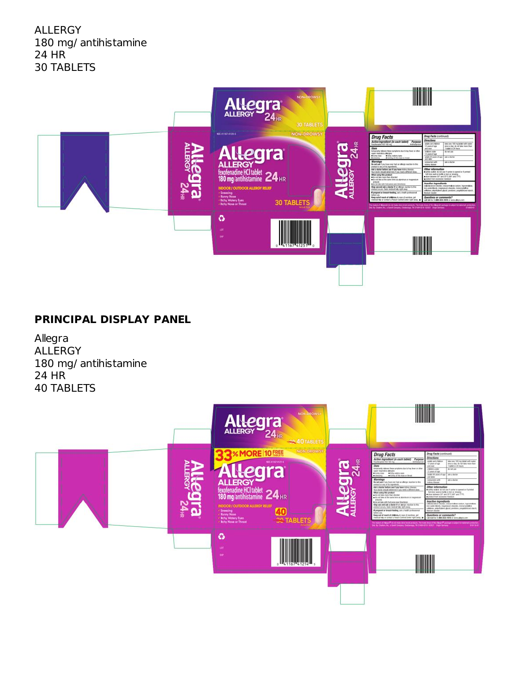ALLERGY 180 mg/ antihistamine 24 HR 30 TABLETS



# **PRINCIPAL DISPLAY PANEL**

Allegra ALLERGY 180 mg/ antihistamine 24 HR 40 TABLETS

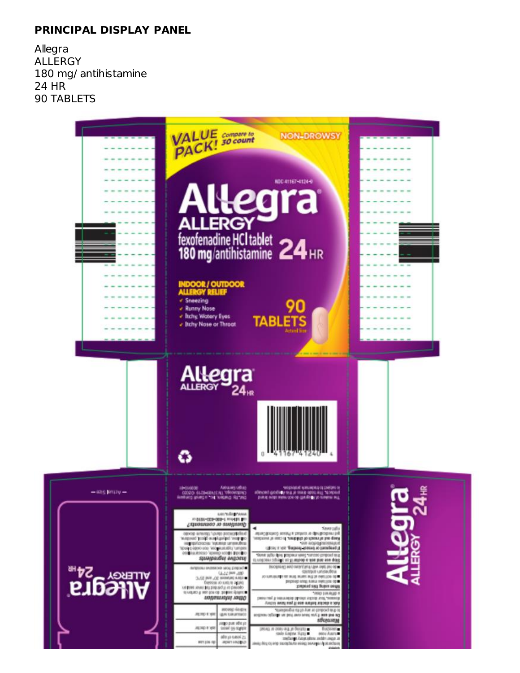# **PRINCIPAL DISPLAY PANEL**

Allegra ALLERGY 180 mg/ antihistamine 24 HR 90 TABLETS

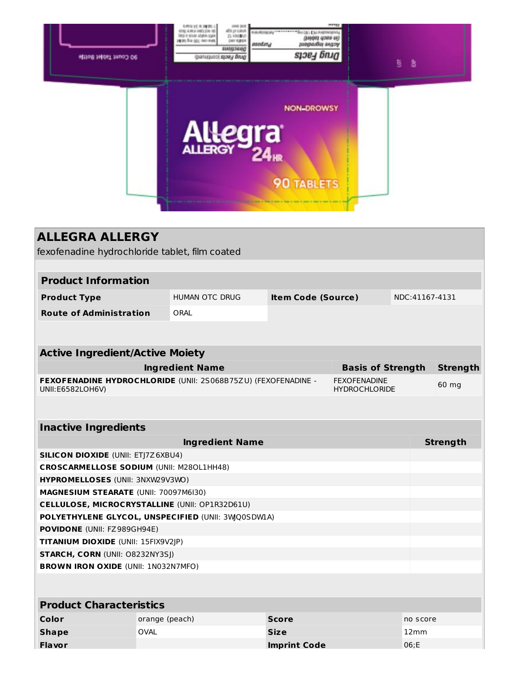|                   |                      | 魯 |
|-------------------|----------------------|---|
| <b>NON-DROWSY</b> |                      |   |
| <b>90 TABLETS</b> |                      |   |
|                   | Allegra <sup>®</sup> |   |

| <b>ALLEGRA ALLERGY</b>                                                            |                        |                        |                           |                                             |                |                 |
|-----------------------------------------------------------------------------------|------------------------|------------------------|---------------------------|---------------------------------------------|----------------|-----------------|
| fexofenadine hydrochloride tablet, film coated                                    |                        |                        |                           |                                             |                |                 |
|                                                                                   |                        |                        |                           |                                             |                |                 |
| <b>Product Information</b>                                                        |                        |                        |                           |                                             |                |                 |
| <b>Product Type</b>                                                               |                        | <b>HUMAN OTC DRUG</b>  | <b>Item Code (Source)</b> |                                             | NDC:41167-4131 |                 |
| <b>Route of Administration</b>                                                    | ORAL                   |                        |                           |                                             |                |                 |
|                                                                                   |                        |                        |                           |                                             |                |                 |
|                                                                                   |                        |                        |                           |                                             |                |                 |
| <b>Active Ingredient/Active Moiety</b>                                            |                        |                        |                           |                                             |                |                 |
|                                                                                   | <b>Ingredient Name</b> |                        |                           | <b>Basis of Strength</b>                    |                | <b>Strength</b> |
| FEXOFENADINE HYDROCHLORIDE (UNII: 2S068B75ZU) (FEXOFENADINE -<br>UNII:E6582LOH6V) |                        |                        |                           | <b>FEXOFENADINE</b><br><b>HYDROCHLORIDE</b> |                | 60 mg           |
|                                                                                   |                        |                        |                           |                                             |                |                 |
| <b>Inactive Ingredients</b>                                                       |                        |                        |                           |                                             |                |                 |
|                                                                                   |                        | <b>Ingredient Name</b> |                           |                                             |                | <b>Strength</b> |
| <b>SILICON DIOXIDE (UNII: ETJ7Z6XBU4)</b>                                         |                        |                        |                           |                                             |                |                 |
| <b>CROSCARMELLOSE SODIUM (UNII: M280L1HH48)</b>                                   |                        |                        |                           |                                             |                |                 |
| HYPROMELLOSES (UNII: 3NXW29V3WO)                                                  |                        |                        |                           |                                             |                |                 |
| MAGNESIUM STEARATE (UNII: 70097M6I30)                                             |                        |                        |                           |                                             |                |                 |
| CELLULOSE, MICROCRYSTALLINE (UNII: OP1R32D61U)                                    |                        |                        |                           |                                             |                |                 |
| POLYETHYLENE GLYCOL, UNSPECIFIED (UNII: 3WQ0SDWIA)                                |                        |                        |                           |                                             |                |                 |
| POVIDONE (UNII: FZ989GH94E)                                                       |                        |                        |                           |                                             |                |                 |
| TITANIUM DIOXIDE (UNII: 15FIX9V2JP)                                               |                        |                        |                           |                                             |                |                 |
| <b>STARCH, CORN (UNII: O8232NY3SJ)</b>                                            |                        |                        |                           |                                             |                |                 |
| <b>BROWN IRON OXIDE (UNII: 1N032N7MFO)</b>                                        |                        |                        |                           |                                             |                |                 |
|                                                                                   |                        |                        |                           |                                             |                |                 |
| <b>Product Characteristics</b>                                                    |                        |                        |                           |                                             |                |                 |
| Color                                                                             | orange (peach)         |                        | <b>Score</b>              |                                             | no score       |                 |
| <b>Shape</b>                                                                      | <b>OVAL</b>            |                        | <b>Size</b>               |                                             | 12mm           |                 |
| <b>Flavor</b>                                                                     |                        |                        | <b>Imprint Code</b>       |                                             | 06:E           |                 |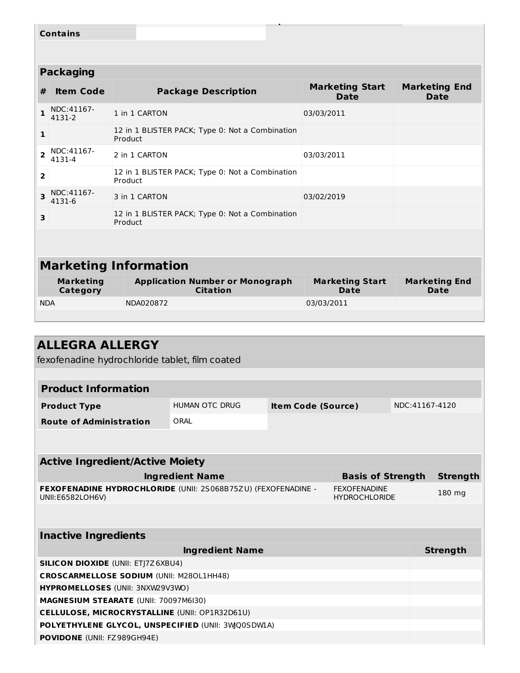|                              | <b>Contains</b>                                               |                                                            |                                       |                                     |  |  |  |
|------------------------------|---------------------------------------------------------------|------------------------------------------------------------|---------------------------------------|-------------------------------------|--|--|--|
|                              |                                                               |                                                            |                                       |                                     |  |  |  |
|                              | <b>Packaging</b>                                              |                                                            |                                       |                                     |  |  |  |
| #                            | <b>Item Code</b>                                              | <b>Package Description</b>                                 | <b>Marketing Start</b><br><b>Date</b> | <b>Marketing End</b><br><b>Date</b> |  |  |  |
| 1                            | NDC:41167-<br>4131-2                                          | 1 in 1 CARTON                                              | 03/03/2011                            |                                     |  |  |  |
| 1                            |                                                               | 12 in 1 BLISTER PACK; Type 0: Not a Combination<br>Product |                                       |                                     |  |  |  |
| $\overline{z}$               | NDC:41167-<br>4131-4                                          | 2 in 1 CARTON                                              | 03/03/2011                            |                                     |  |  |  |
| $\overline{2}$               |                                                               | 12 in 1 BLISTER PACK; Type 0: Not a Combination<br>Product |                                       |                                     |  |  |  |
| 3                            | NDC:41167-<br>4131-6                                          | 3 in 1 CARTON                                              | 03/02/2019                            |                                     |  |  |  |
| 3                            |                                                               | 12 in 1 BLISTER PACK; Type 0: Not a Combination<br>Product |                                       |                                     |  |  |  |
|                              |                                                               |                                                            |                                       |                                     |  |  |  |
| <b>Marketing Information</b> |                                                               |                                                            |                                       |                                     |  |  |  |
|                              | <b>Marketing</b><br>$C2$ + $\alpha$ $\alpha$ $\alpha$ $\beta$ | <b>Application Number or Monograph</b><br>$f$ itation      | <b>Marketing Start</b><br><b>Data</b> | <b>Marketing End</b><br><b>Data</b> |  |  |  |

| Marketing<br>Category | Application Number or Monograph<br>Citation | <b>Marketing Start</b><br>Date | Marketing End<br>Date |
|-----------------------|---------------------------------------------|--------------------------------|-----------------------|
| <b>NDA</b>            | NDA020872                                   | 03/03/2011                     |                       |
|                       |                                             |                                |                       |

| <b>ALLEGRA ALLERGY</b>                                                            |                        |                           |                                             |                |                 |
|-----------------------------------------------------------------------------------|------------------------|---------------------------|---------------------------------------------|----------------|-----------------|
| fexofenadine hydrochloride tablet, film coated                                    |                        |                           |                                             |                |                 |
|                                                                                   |                        |                           |                                             |                |                 |
| <b>Product Information</b>                                                        |                        |                           |                                             |                |                 |
| <b>Product Type</b>                                                               | <b>HUMAN OTC DRUG</b>  | <b>Item Code (Source)</b> |                                             | NDC:41167-4120 |                 |
| <b>Route of Administration</b>                                                    | ORAL                   |                           |                                             |                |                 |
|                                                                                   |                        |                           |                                             |                |                 |
|                                                                                   |                        |                           |                                             |                |                 |
| <b>Active Ingredient/Active Moiety</b>                                            |                        |                           |                                             |                |                 |
|                                                                                   | <b>Ingredient Name</b> |                           | <b>Basis of Strength</b>                    |                | <b>Strength</b> |
| FEXOFENADINE HYDROCHLORIDE (UNII: 2S068B75ZU) (FEXOFENADINE -<br>UNII:E6582LOH6V) |                        |                           | <b>FEXOFENADINE</b><br><b>HYDROCHLORIDE</b> |                | 180 mg          |
|                                                                                   |                        |                           |                                             |                |                 |
| <b>Inactive Ingredients</b>                                                       |                        |                           |                                             |                |                 |
|                                                                                   |                        |                           |                                             |                |                 |
|                                                                                   | <b>Ingredient Name</b> |                           |                                             |                | <b>Strength</b> |
| <b>SILICON DIOXIDE (UNII: ETJ7Z6XBU4)</b>                                         |                        |                           |                                             |                |                 |
| <b>CROSCARMELLOSE SODIUM (UNII: M280L1HH48)</b>                                   |                        |                           |                                             |                |                 |
| <b>HYPROMELLOSES (UNII: 3NXW29V3WO)</b>                                           |                        |                           |                                             |                |                 |
| MAGNESIUM STEARATE (UNII: 70097M6I30)                                             |                        |                           |                                             |                |                 |
| <b>CELLULOSE, MICROCRYSTALLINE (UNII: OP1R32D61U)</b>                             |                        |                           |                                             |                |                 |
| POLYETHYLENE GLYCOL, UNSPECIFIED (UNII: 3WQ0SDWIA)                                |                        |                           |                                             |                |                 |
| <b>POVIDONE</b> (UNII: FZ989GH94E)                                                |                        |                           |                                             |                |                 |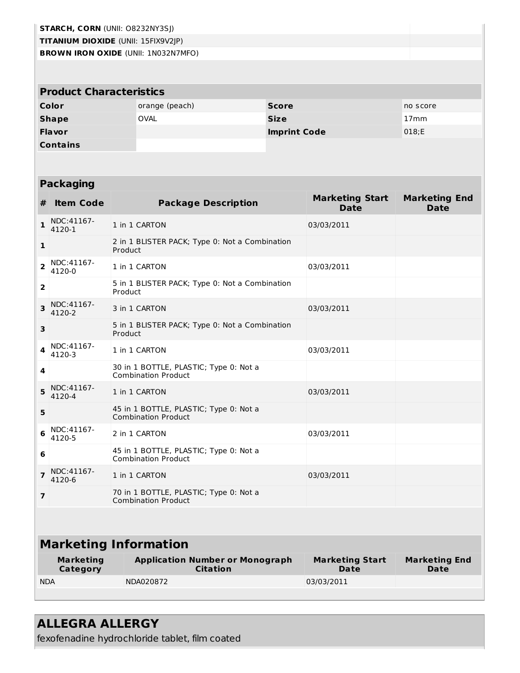| <b>STARCH, CORN (UNII: O8232NY3SJ)</b>     |                |                     |                  |  |  |  |  |
|--------------------------------------------|----------------|---------------------|------------------|--|--|--|--|
| <b>TITANIUM DIOXIDE (UNII: 15FIX9V2JP)</b> |                |                     |                  |  |  |  |  |
| <b>BROWN IRON OXIDE (UNII: 1N032N7MFO)</b> |                |                     |                  |  |  |  |  |
|                                            |                |                     |                  |  |  |  |  |
| <b>Product Characteristics</b>             |                |                     |                  |  |  |  |  |
| Color                                      | orange (peach) | <b>Score</b>        | no score         |  |  |  |  |
| <b>Shape</b>                               | <b>OVAL</b>    | <b>Size</b>         | 17 <sub>mm</sub> |  |  |  |  |
| Flavor                                     |                | <b>Imprint Code</b> | 018;E            |  |  |  |  |
| <b>Contains</b>                            |                |                     |                  |  |  |  |  |

# **Packaging**

| #                       | <b>Item Code</b>             | <b>Package Description</b>                                           | <b>Marketing Start</b><br><b>Date</b> | <b>Marketing End</b><br><b>Date</b> |  |  |  |  |
|-------------------------|------------------------------|----------------------------------------------------------------------|---------------------------------------|-------------------------------------|--|--|--|--|
| 1                       | NDC:41167-<br>4120-1         | 1 in 1 CARTON                                                        | 03/03/2011                            |                                     |  |  |  |  |
| 1                       |                              | 2 in 1 BLISTER PACK; Type 0: Not a Combination<br>Product            |                                       |                                     |  |  |  |  |
| $\overline{2}$          | NDC:41167-<br>4120-0         | 1 in 1 CARTON                                                        | 03/03/2011                            |                                     |  |  |  |  |
| 2                       |                              | 5 in 1 BLISTER PACK; Type 0: Not a Combination<br>Product            |                                       |                                     |  |  |  |  |
| 3                       | NDC:41167-<br>4120-2         | 3 in 1 CARTON                                                        | 03/03/2011                            |                                     |  |  |  |  |
| 3                       |                              | 5 in 1 BLISTER PACK; Type 0: Not a Combination<br>Product            |                                       |                                     |  |  |  |  |
| 4                       | NDC:41167-<br>4120-3         | 1 in 1 CARTON                                                        | 03/03/2011                            |                                     |  |  |  |  |
| 4                       |                              | 30 in 1 BOTTLE, PLASTIC; Type 0: Not a<br><b>Combination Product</b> |                                       |                                     |  |  |  |  |
| 5                       | NDC:41167-<br>4120-4         | 1 in 1 CARTON                                                        | 03/03/2011                            |                                     |  |  |  |  |
| 5                       |                              | 45 in 1 BOTTLE, PLASTIC; Type 0: Not a<br><b>Combination Product</b> |                                       |                                     |  |  |  |  |
| 6                       | NDC: 41167-<br>4120-5        | 2 in 1 CARTON                                                        | 03/03/2011                            |                                     |  |  |  |  |
| 6                       |                              | 45 in 1 BOTTLE, PLASTIC; Type 0: Not a<br><b>Combination Product</b> |                                       |                                     |  |  |  |  |
| $\overline{\mathbf{z}}$ | NDC:41167-<br>4120-6         | 1 in 1 CARTON                                                        | 03/03/2011                            |                                     |  |  |  |  |
| $\overline{7}$          |                              | 70 in 1 BOTTLE, PLASTIC; Type 0: Not a<br><b>Combination Product</b> |                                       |                                     |  |  |  |  |
|                         |                              |                                                                      |                                       |                                     |  |  |  |  |
|                         |                              | <b>Marketing Information</b>                                         |                                       |                                     |  |  |  |  |
|                         | <b>Marketing</b><br>Category | <b>Application Number or Monograph</b><br><b>Citation</b>            | <b>Marketing Start</b><br>Date        | <b>Marketing End</b><br><b>Date</b> |  |  |  |  |
| <b>NDA</b>              |                              | NDA020872                                                            | 03/03/2011                            |                                     |  |  |  |  |

# **ALLEGRA ALLERGY**

fexofenadine hydrochloride tablet, film coated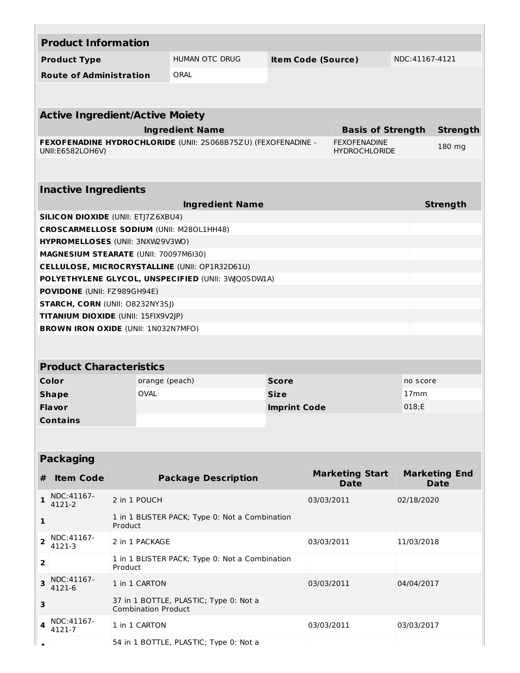|                          | <b>Product Information</b>                 |                            |                                                                                                      |                           |            |                                             |                |                                     |  |
|--------------------------|--------------------------------------------|----------------------------|------------------------------------------------------------------------------------------------------|---------------------------|------------|---------------------------------------------|----------------|-------------------------------------|--|
|                          | <b>Product Type</b>                        |                            | HUMAN OTC DRUG                                                                                       | <b>Item Code (Source)</b> |            |                                             | NDC:41167-4121 |                                     |  |
|                          | <b>Route of Administration</b>             |                            | ORAL                                                                                                 |                           |            |                                             |                |                                     |  |
|                          |                                            |                            |                                                                                                      |                           |            |                                             |                |                                     |  |
|                          |                                            |                            |                                                                                                      |                           |            |                                             |                |                                     |  |
|                          | <b>Active Ingredient/Active Moiety</b>     |                            |                                                                                                      |                           |            |                                             |                |                                     |  |
|                          |                                            |                            | <b>Ingredient Name</b>                                                                               |                           |            | <b>Basis of Strength</b>                    |                | <b>Strength</b>                     |  |
|                          | UNII:E6582LOH6V)                           |                            | FEXOFENADINE HYDROCHLORIDE (UNII: 2S068B75ZU) (FEXOFENADINE -                                        |                           |            | <b>FEXOFENADINE</b><br><b>HYDROCHLORIDE</b> |                | 180 mg                              |  |
|                          |                                            |                            |                                                                                                      |                           |            |                                             |                |                                     |  |
|                          |                                            |                            |                                                                                                      |                           |            |                                             |                |                                     |  |
|                          | <b>Inactive Ingredients</b>                |                            |                                                                                                      |                           |            |                                             |                |                                     |  |
|                          |                                            |                            | <b>Ingredient Name</b>                                                                               |                           |            |                                             |                | <b>Strength</b>                     |  |
|                          | <b>SILICON DIOXIDE (UNII: ETJ7Z6XBU4)</b>  |                            |                                                                                                      |                           |            |                                             |                |                                     |  |
|                          |                                            |                            | <b>CROSCARMELLOSE SODIUM (UNII: M280L1HH48)</b>                                                      |                           |            |                                             |                |                                     |  |
|                          | HYPROMELLOSES (UNII: 3NXW29V3WO)           |                            |                                                                                                      |                           |            |                                             |                |                                     |  |
|                          | MAGNESIUM STEARATE (UNII: 70097M6I30)      |                            |                                                                                                      |                           |            |                                             |                |                                     |  |
|                          |                                            |                            | CELLULOSE, MICROCRYSTALLINE (UNII: OP1R32D61U)<br>POLYETHYLENE GLYCOL, UNSPECIFIED (UNII: 3WQ0SDWIA) |                           |            |                                             |                |                                     |  |
|                          | <b>POVIDONE</b> (UNII: FZ989GH94E)         |                            |                                                                                                      |                           |            |                                             |                |                                     |  |
|                          | <b>STARCH, CORN (UNII: O8232NY3SJ)</b>     |                            |                                                                                                      |                           |            |                                             |                |                                     |  |
|                          | TITANIUM DIOXIDE (UNII: 15FIX9V2JP)        |                            |                                                                                                      |                           |            |                                             |                |                                     |  |
|                          | <b>BROWN IRON OXIDE (UNII: 1N032N7MFO)</b> |                            |                                                                                                      |                           |            |                                             |                |                                     |  |
|                          |                                            |                            |                                                                                                      |                           |            |                                             |                |                                     |  |
|                          |                                            |                            |                                                                                                      |                           |            |                                             |                |                                     |  |
|                          | <b>Product Characteristics</b>             |                            |                                                                                                      |                           |            |                                             |                |                                     |  |
|                          | Color                                      | orange (peach)             |                                                                                                      | <b>Score</b>              |            |                                             | no score       |                                     |  |
|                          | <b>Shape</b>                               | <b>OVAL</b>                |                                                                                                      | <b>Size</b>               |            |                                             | 17mm           |                                     |  |
|                          | Flavor                                     |                            |                                                                                                      | <b>Imprint Code</b>       |            |                                             | 018;E          |                                     |  |
|                          | Contains                                   |                            |                                                                                                      |                           |            |                                             |                |                                     |  |
|                          |                                            |                            |                                                                                                      |                           |            |                                             |                |                                     |  |
|                          |                                            |                            |                                                                                                      |                           |            |                                             |                |                                     |  |
|                          | <b>Packaging</b>                           |                            |                                                                                                      |                           |            |                                             |                |                                     |  |
| #                        | <b>Item Code</b>                           |                            | <b>Package Description</b>                                                                           |                           |            | <b>Marketing Start</b><br><b>Date</b>       |                | <b>Marketing End</b><br><b>Date</b> |  |
| 1                        | NDC:41167-<br>4121-2                       | 2 in 1 POUCH               |                                                                                                      |                           | 03/03/2011 |                                             | 02/18/2020     |                                     |  |
| 1                        |                                            | Product                    | 1 in 1 BLISTER PACK; Type 0: Not a Combination                                                       |                           |            |                                             |                |                                     |  |
| $\overline{\mathbf{2}}$  | NDC:41167-<br>4121-3                       | 2 in 1 PACKAGE             |                                                                                                      |                           | 03/03/2011 |                                             | 11/03/2018     |                                     |  |
| $\overline{2}$           |                                            | Product                    | 1 in 1 BLISTER PACK; Type 0: Not a Combination                                                       |                           |            |                                             |                |                                     |  |
| 3                        | NDC:41167-<br>4121-6                       | 1 in 1 CARTON              |                                                                                                      |                           | 03/03/2011 |                                             | 04/04/2017     |                                     |  |
| 3                        |                                            | <b>Combination Product</b> | 37 in 1 BOTTLE, PLASTIC; Type 0: Not a                                                               |                           |            |                                             |                |                                     |  |
| 4                        | NDC:41167-<br>4121-7                       | 1 in 1 CARTON              |                                                                                                      |                           | 03/03/2011 |                                             | 03/03/2017     |                                     |  |
| $\overline{\phantom{a}}$ |                                            |                            | 54 in 1 BOTTLE, PLASTIC; Type 0: Not a                                                               |                           |            |                                             |                |                                     |  |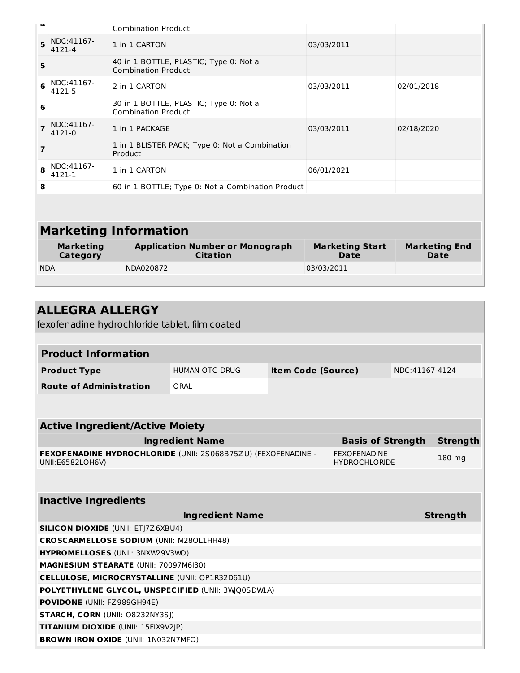| 4              |                              | <b>Combination Product</b>                                           |                                       |                                     |
|----------------|------------------------------|----------------------------------------------------------------------|---------------------------------------|-------------------------------------|
| 5              | NDC:41167-<br>4121-4         | 1 in 1 CARTON                                                        | 03/03/2011                            |                                     |
| 5              |                              | 40 in 1 BOTTLE, PLASTIC; Type 0: Not a<br><b>Combination Product</b> |                                       |                                     |
| 6              | NDC:41167-<br>4121-5         | 2 in 1 CARTON                                                        | 03/03/2011                            | 02/01/2018                          |
| 6              |                              | 30 in 1 BOTTLE, PLASTIC; Type 0: Not a<br><b>Combination Product</b> |                                       |                                     |
| $\overline{7}$ | NDC:41167-<br>4121-0         | 1 in 1 PACKAGE                                                       | 03/03/2011                            | 02/18/2020                          |
| 7              |                              | 1 in 1 BLISTER PACK; Type 0: Not a Combination<br>Product            |                                       |                                     |
| 8              | NDC:41167-<br>4121-1         | 1 in 1 CARTON                                                        | 06/01/2021                            |                                     |
| 8              |                              | 60 in 1 BOTTLE; Type 0: Not a Combination Product                    |                                       |                                     |
|                |                              |                                                                      |                                       |                                     |
|                |                              | <b>Marketing Information</b>                                         |                                       |                                     |
|                | <b>Marketing</b><br>Category | <b>Application Number or Monograph</b><br><b>Citation</b>            | <b>Marketing Start</b><br><b>Date</b> | <b>Marketing End</b><br><b>Date</b> |
| <b>NDA</b>     |                              | NDA020872                                                            | 03/03/2011                            |                                     |
|                |                              |                                                                      |                                       |                                     |

| <b>ALLEGRA ALLERGY</b>                                                            |                                            |                           |                                             |                |                 |  |  |
|-----------------------------------------------------------------------------------|--------------------------------------------|---------------------------|---------------------------------------------|----------------|-----------------|--|--|
| fexofenadine hydrochloride tablet, film coated                                    |                                            |                           |                                             |                |                 |  |  |
|                                                                                   |                                            |                           |                                             |                |                 |  |  |
| <b>Product Information</b>                                                        |                                            |                           |                                             |                |                 |  |  |
| <b>Product Type</b>                                                               | HUMAN OTC DRUG                             | <b>Item Code (Source)</b> |                                             | NDC:41167-4124 |                 |  |  |
| <b>Route of Administration</b>                                                    | ORAL                                       |                           |                                             |                |                 |  |  |
|                                                                                   |                                            |                           |                                             |                |                 |  |  |
|                                                                                   |                                            |                           |                                             |                |                 |  |  |
| <b>Active Ingredient/Active Moiety</b>                                            |                                            |                           |                                             |                |                 |  |  |
|                                                                                   | <b>Ingredient Name</b>                     |                           | <b>Basis of Strength</b>                    |                | <b>Strength</b> |  |  |
| FEXOFENADINE HYDROCHLORIDE (UNII: 2S068B75ZU) (FEXOFENADINE -<br>UNII:E6582LOH6V) |                                            |                           | <b>FEXOFENADINE</b><br><b>HYDROCHLORIDE</b> |                | 180 mg          |  |  |
|                                                                                   |                                            |                           |                                             |                |                 |  |  |
| <b>Inactive Ingredients</b>                                                       |                                            |                           |                                             |                |                 |  |  |
|                                                                                   | <b>Ingredient Name</b>                     |                           |                                             |                | <b>Strength</b> |  |  |
| <b>SILICON DIOXIDE (UNII: ETJ7Z6XBU4)</b>                                         |                                            |                           |                                             |                |                 |  |  |
| <b>CROSCARMELLOSE SODIUM (UNII: M280L1HH48)</b>                                   |                                            |                           |                                             |                |                 |  |  |
| HYPROMELLOSES (UNII: 3NXW29V3WO)                                                  |                                            |                           |                                             |                |                 |  |  |
| MAGNESIUM STEARATE (UNII: 70097M6I30)                                             |                                            |                           |                                             |                |                 |  |  |
| <b>CELLULOSE, MICROCRYSTALLINE (UNII: OP1R32D61U)</b>                             |                                            |                           |                                             |                |                 |  |  |
| POLYETHYLENE GLYCOL, UNSPECIFIED (UNII: 3WQ0SDWIA)                                |                                            |                           |                                             |                |                 |  |  |
| POVIDONE (UNII: FZ989GH94E)                                                       |                                            |                           |                                             |                |                 |  |  |
|                                                                                   | <b>STARCH, CORN (UNII: O8232NY3SJ)</b>     |                           |                                             |                |                 |  |  |
| <b>TITANIUM DIOXIDE (UNII: 15FIX9V2JP)</b>                                        |                                            |                           |                                             |                |                 |  |  |
|                                                                                   | <b>BROWN IRON OXIDE (UNII: 1N032N7MFO)</b> |                           |                                             |                |                 |  |  |